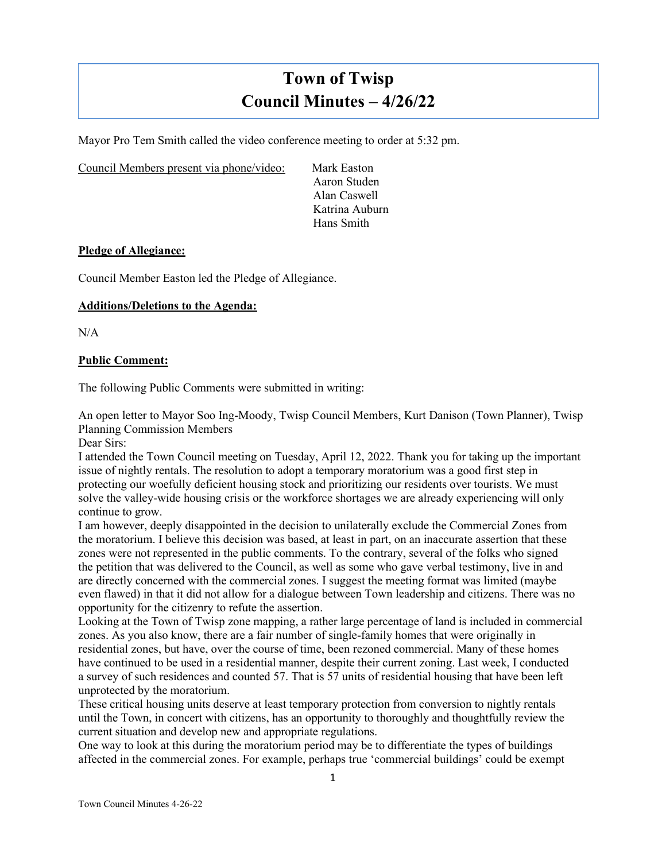# **Town of Twisp Council Minutes – 4/26/22**

Mayor Pro Tem Smith called the video conference meeting to order at 5:32 pm.

Council Members present via phone/video: Mark Easton

Aaron Studen Alan Caswell Katrina Auburn Hans Smith

#### **Pledge of Allegiance:**

Council Member Easton led the Pledge of Allegiance.

## **Additions/Deletions to the Agenda:**

 $N/A$ 

#### **Public Comment:**

The following Public Comments were submitted in writing:

An open letter to Mayor Soo Ing-Moody, Twisp Council Members, Kurt Danison (Town Planner), Twisp Planning Commission Members

Dear Sirs:

I attended the Town Council meeting on Tuesday, April 12, 2022. Thank you for taking up the important issue of nightly rentals. The resolution to adopt a temporary moratorium was a good first step in protecting our woefully deficient housing stock and prioritizing our residents over tourists. We must solve the valley-wide housing crisis or the workforce shortages we are already experiencing will only continue to grow.

I am however, deeply disappointed in the decision to unilaterally exclude the Commercial Zones from the moratorium. I believe this decision was based, at least in part, on an inaccurate assertion that these zones were not represented in the public comments. To the contrary, several of the folks who signed the petition that was delivered to the Council, as well as some who gave verbal testimony, live in and are directly concerned with the commercial zones. I suggest the meeting format was limited (maybe even flawed) in that it did not allow for a dialogue between Town leadership and citizens. There was no opportunity for the citizenry to refute the assertion.

Looking at the Town of Twisp zone mapping, a rather large percentage of land is included in commercial zones. As you also know, there are a fair number of single-family homes that were originally in residential zones, but have, over the course of time, been rezoned commercial. Many of these homes have continued to be used in a residential manner, despite their current zoning. Last week, I conducted a survey of such residences and counted 57. That is 57 units of residential housing that have been left unprotected by the moratorium.

These critical housing units deserve at least temporary protection from conversion to nightly rentals until the Town, in concert with citizens, has an opportunity to thoroughly and thoughtfully review the current situation and develop new and appropriate regulations.

One way to look at this during the moratorium period may be to differentiate the types of buildings affected in the commercial zones. For example, perhaps true 'commercial buildings' could be exempt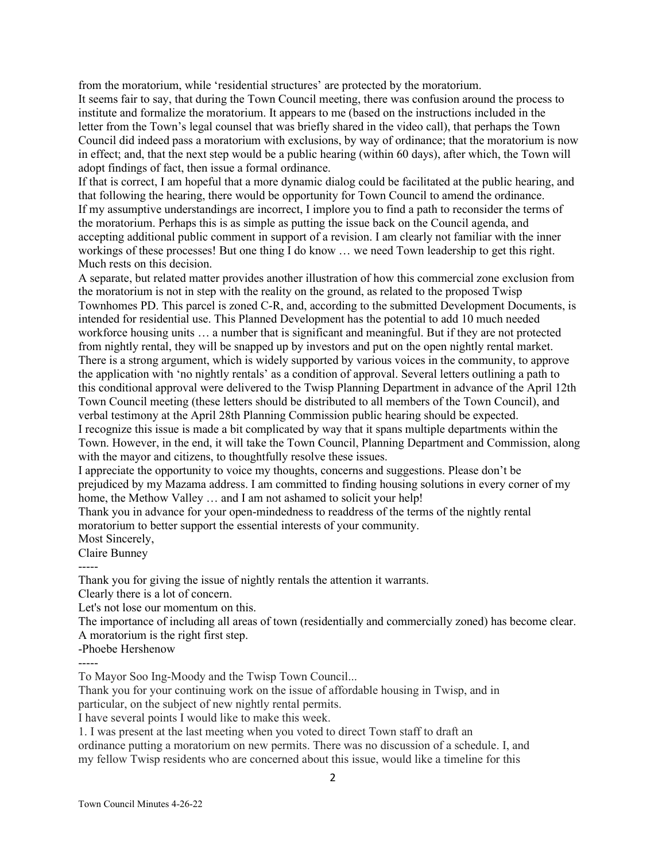from the moratorium, while 'residential structures' are protected by the moratorium. It seems fair to say, that during the Town Council meeting, there was confusion around the process to institute and formalize the moratorium. It appears to me (based on the instructions included in the letter from the Town's legal counsel that was briefly shared in the video call), that perhaps the Town Council did indeed pass a moratorium with exclusions, by way of ordinance; that the moratorium is now in effect; and, that the next step would be a public hearing (within 60 days), after which, the Town will adopt findings of fact, then issue a formal ordinance.

If that is correct, I am hopeful that a more dynamic dialog could be facilitated at the public hearing, and that following the hearing, there would be opportunity for Town Council to amend the ordinance. If my assumptive understandings are incorrect, I implore you to find a path to reconsider the terms of the moratorium. Perhaps this is as simple as putting the issue back on the Council agenda, and accepting additional public comment in support of a revision. I am clearly not familiar with the inner workings of these processes! But one thing I do know … we need Town leadership to get this right. Much rests on this decision.

A separate, but related matter provides another illustration of how this commercial zone exclusion from the moratorium is not in step with the reality on the ground, as related to the proposed Twisp Townhomes PD. This parcel is zoned C-R, and, according to the submitted Development Documents, is intended for residential use. This Planned Development has the potential to add 10 much needed workforce housing units … a number that is significant and meaningful. But if they are not protected from nightly rental, they will be snapped up by investors and put on the open nightly rental market. There is a strong argument, which is widely supported by various voices in the community, to approve the application with 'no nightly rentals' as a condition of approval. Several letters outlining a path to this conditional approval were delivered to the Twisp Planning Department in advance of the April 12th Town Council meeting (these letters should be distributed to all members of the Town Council), and verbal testimony at the April 28th Planning Commission public hearing should be expected. I recognize this issue is made a bit complicated by way that it spans multiple departments within the Town. However, in the end, it will take the Town Council, Planning Department and Commission, along with the mayor and citizens, to thoughtfully resolve these issues.

I appreciate the opportunity to voice my thoughts, concerns and suggestions. Please don't be prejudiced by my Mazama address. I am committed to finding housing solutions in every corner of my home, the Methow Valley ... and I am not ashamed to solicit your help!

Thank you in advance for your open-mindedness to readdress of the terms of the nightly rental moratorium to better support the essential interests of your community.

Most Sincerely,

Claire Bunney

Thank you for giving the issue of nightly rentals the attention it warrants.

Clearly there is a lot of concern.

Let's not lose our momentum on this.

The importance of including all areas of town (residentially and commercially zoned) has become clear.

A moratorium is the right first step.

-Phoebe Hershenow

-----

To Mayor Soo Ing-Moody and the Twisp Town Council...

Thank you for your continuing work on the issue of affordable housing in Twisp, and in particular, on the subject of new nightly rental permits.

I have several points I would like to make this week.

1. I was present at the last meeting when you voted to direct Town staff to draft an

ordinance putting a moratorium on new permits. There was no discussion of a schedule. I, and my fellow Twisp residents who are concerned about this issue, would like a timeline for this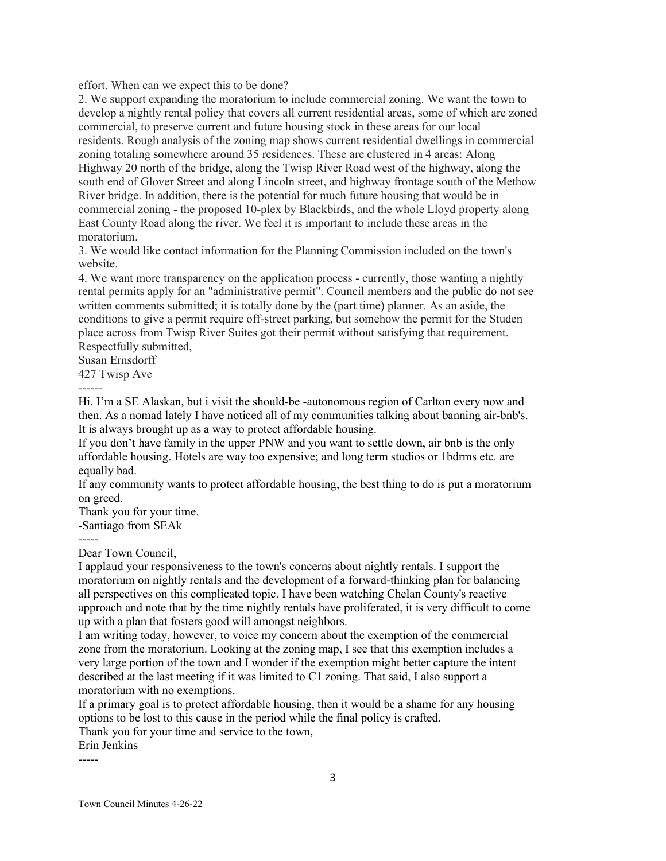effort. When can we expect this to be done?

2. We support expanding the moratorium to include commercial zoning. We want the town to develop a nightly rental policy that covers all current residential areas, some of which are zoned commercial, to preserve current and future housing stock in these areas for our local residents. Rough analysis of the zoning map shows current residential dwellings in commercial zoning totaling somewhere around 35 residences. These are clustered in 4 areas: Along Highway 20 north of the bridge, along the Twisp River Road west of the highway, along the south end of Glover Street and along Lincoln street, and highway frontage south of the Methow River bridge. In addition, there is the potential for much future housing that would be in commercial zoning - the proposed 10-plex by Blackbirds, and the whole Lloyd property along East County Road along the river. We feel it is important to include these areas in the moratorium.

3. We would like contact information for the Planning Commission included on the town's website.

4. We want more transparency on the application process - currently, those wanting a nightly rental permits apply for an "administrative permit". Council members and the public do not see written comments submitted; it is totally done by the (part time) planner. As an aside, the conditions to give a permit require off-street parking, but somehow the permit for the Studen place across from Twisp River Suites got their permit without satisfying that requirement. Respectfully submitted,

Susan Ernsdorff

427 Twisp Ave

------

Hi. I'm a SE Alaskan, but i visit the should-be -autonomous region of Carlton every now and then. As a nomad lately I have noticed all of my communities talking about banning air-bnb's. It is always brought up as a way to protect affordable housing.

If you don't have family in the upper PNW and you want to settle down, air bnb is the only affordable housing. Hotels are way too expensive; and long term studios or 1bdrms etc. are equally bad.

If any community wants to protect affordable housing, the best thing to do is put a moratorium on greed.

Thank you for your time.

-Santiago from SEAk

Dear Town Council,

I applaud your responsiveness to the town's concerns about nightly rentals. I support the moratorium on nightly rentals and the development of a forward-thinking plan for balancing all perspectives on this complicated topic. I have been watching Chelan County's reactive approach and note that by the time nightly rentals have proliferated, it is very difficult to come up with a plan that fosters good will amongst neighbors.

I am writing today, however, to voice my concern about the exemption of the commercial zone from the moratorium. Looking at the zoning map, I see that this exemption includes a very large portion of the town and I wonder if the exemption might better capture the intent described at the last meeting if it was limited to C1 zoning. That said, I also support a moratorium with no exemptions.

If a primary goal is to protect affordable housing, then it would be a shame for any housing options to be lost to this cause in the period while the final policy is crafted.

Thank you for your time and service to the town,

Erin Jenkins

-----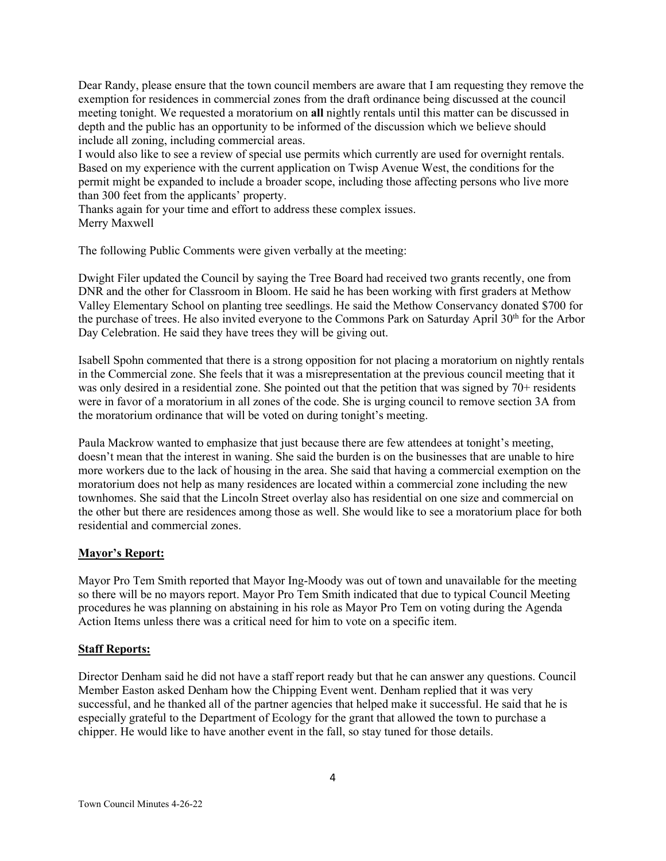Dear Randy, please ensure that the town council members are aware that I am requesting they remove the exemption for residences in commercial zones from the draft ordinance being discussed at the council meeting tonight. We requested a moratorium on **all** nightly rentals until this matter can be discussed in depth and the public has an opportunity to be informed of the discussion which we believe should include all zoning, including commercial areas.

I would also like to see a review of special use permits which currently are used for overnight rentals. Based on my experience with the current application on Twisp Avenue West, the conditions for the permit might be expanded to include a broader scope, including those affecting persons who live more than 300 feet from the applicants' property.

Thanks again for your time and effort to address these complex issues. Merry Maxwell

The following Public Comments were given verbally at the meeting:

Dwight Filer updated the Council by saying the Tree Board had received two grants recently, one from DNR and the other for Classroom in Bloom. He said he has been working with first graders at Methow Valley Elementary School on planting tree seedlings. He said the Methow Conservancy donated \$700 for the purchase of trees. He also invited everyone to the Commons Park on Saturday April 30<sup>th</sup> for the Arbor Day Celebration. He said they have trees they will be giving out.

Isabell Spohn commented that there is a strong opposition for not placing a moratorium on nightly rentals in the Commercial zone. She feels that it was a misrepresentation at the previous council meeting that it was only desired in a residential zone. She pointed out that the petition that was signed by 70+ residents were in favor of a moratorium in all zones of the code. She is urging council to remove section 3A from the moratorium ordinance that will be voted on during tonight's meeting.

Paula Mackrow wanted to emphasize that just because there are few attendees at tonight's meeting, doesn't mean that the interest in waning. She said the burden is on the businesses that are unable to hire more workers due to the lack of housing in the area. She said that having a commercial exemption on the moratorium does not help as many residences are located within a commercial zone including the new townhomes. She said that the Lincoln Street overlay also has residential on one size and commercial on the other but there are residences among those as well. She would like to see a moratorium place for both residential and commercial zones.

# **Mayor's Report:**

Mayor Pro Tem Smith reported that Mayor Ing-Moody was out of town and unavailable for the meeting so there will be no mayors report. Mayor Pro Tem Smith indicated that due to typical Council Meeting procedures he was planning on abstaining in his role as Mayor Pro Tem on voting during the Agenda Action Items unless there was a critical need for him to vote on a specific item.

## **Staff Reports:**

Director Denham said he did not have a staff report ready but that he can answer any questions. Council Member Easton asked Denham how the Chipping Event went. Denham replied that it was very successful, and he thanked all of the partner agencies that helped make it successful. He said that he is especially grateful to the Department of Ecology for the grant that allowed the town to purchase a chipper. He would like to have another event in the fall, so stay tuned for those details.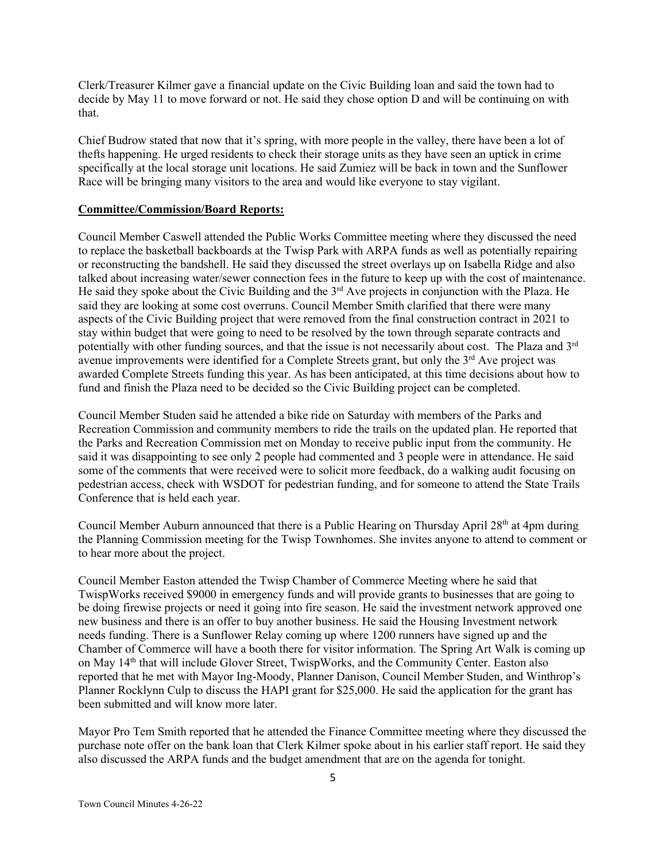Clerk/Treasurer Kilmer gave a financial update on the Civic Building loan and said the town had to decide by May 11 to move forward or not. He said they chose option D and will be continuing on with that.

Chief Budrow stated that now that it's spring, with more people in the valley, there have been a lot of thefts happening. He urged residents to check their storage units as they have seen an uptick in crime specifically at the local storage unit locations. He said Zumiez will be back in town and the Sunflower Race will be bringing many visitors to the area and would like everyone to stay vigilant.

#### **Committee/Commission/Board Reports:**

Council Member Caswell attended the Public Works Committee meeting where they discussed the need to replace the basketball backboards at the Twisp Park with ARPA funds as well as potentially repairing or reconstructing the bandshell. He said they discussed the street overlays up on Isabella Ridge and also talked about increasing water/sewer connection fees in the future to keep up with the cost of maintenance. He said they spoke about the Civic Building and the 3<sup>rd</sup> Ave projects in conjunction with the Plaza. He said they are looking at some cost overruns. Council Member Smith clarified that there were many aspects of the Civic Building project that were removed from the final construction contract in 2021 to stay within budget that were going to need to be resolved by the town through separate contracts and potentially with other funding sources, and that the issue is not necessarily about cost. The Plaza and 3rd avenue improvements were identified for a Complete Streets grant, but only the  $3<sup>rd</sup>$  Ave project was awarded Complete Streets funding this year. As has been anticipated, at this time decisions about how to fund and finish the Plaza need to be decided so the Civic Building project can be completed.

Council Member Studen said he attended a bike ride on Saturday with members of the Parks and Recreation Commission and community members to ride the trails on the updated plan. He reported that the Parks and Recreation Commission met on Monday to receive public input from the community. He said it was disappointing to see only 2 people had commented and 3 people were in attendance. He said some of the comments that were received were to solicit more feedback, do a walking audit focusing on pedestrian access, check with WSDOT for pedestrian funding, and for someone to attend the State Trails Conference that is held each year.

Council Member Auburn announced that there is a Public Hearing on Thursday April 28<sup>th</sup> at 4pm during the Planning Commission meeting for the Twisp Townhomes. She invites anyone to attend to comment or to hear more about the project.

Council Member Easton attended the Twisp Chamber of Commerce Meeting where he said that TwispWorks received \$9000 in emergency funds and will provide grants to businesses that are going to be doing firewise projects or need it going into fire season. He said the investment network approved one new business and there is an offer to buy another business. He said the Housing Investment network needs funding. There is a Sunflower Relay coming up where 1200 runners have signed up and the Chamber of Commerce will have a booth there for visitor information. The Spring Art Walk is coming up on May 14<sup>th</sup> that will include Glover Street, TwispWorks, and the Community Center. Easton also reported that he met with Mayor Ing-Moody, Planner Danison, Council Member Studen, and Winthrop's Planner Rocklynn Culp to discuss the HAPI grant for \$25,000. He said the application for the grant has been submitted and will know more later.

Mayor Pro Tem Smith reported that he attended the Finance Committee meeting where they discussed the purchase note offer on the bank loan that Clerk Kilmer spoke about in his earlier staff report. He said they also discussed the ARPA funds and the budget amendment that are on the agenda for tonight.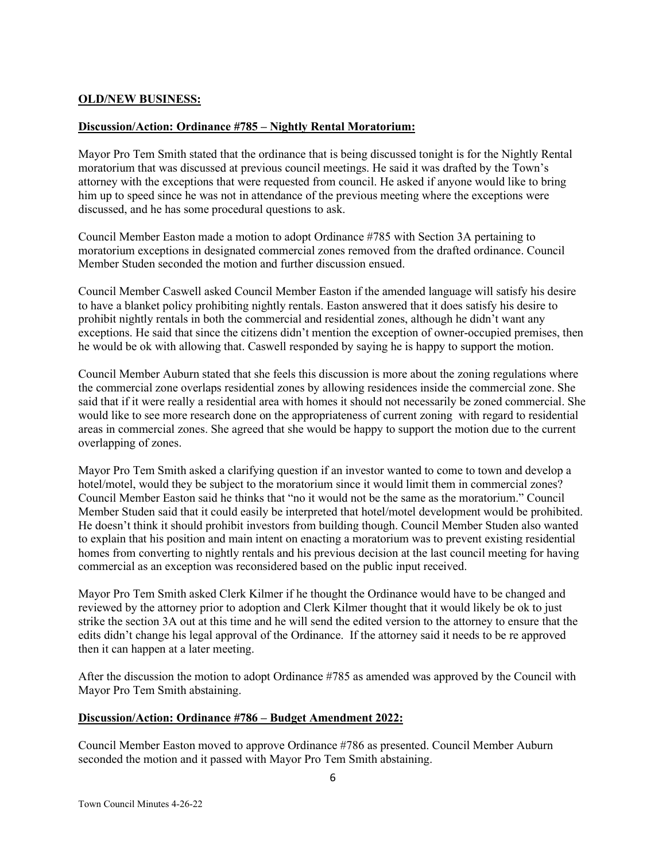## **OLD/NEW BUSINESS:**

## **Discussion/Action: Ordinance #785 – Nightly Rental Moratorium:**

Mayor Pro Tem Smith stated that the ordinance that is being discussed tonight is for the Nightly Rental moratorium that was discussed at previous council meetings. He said it was drafted by the Town's attorney with the exceptions that were requested from council. He asked if anyone would like to bring him up to speed since he was not in attendance of the previous meeting where the exceptions were discussed, and he has some procedural questions to ask.

Council Member Easton made a motion to adopt Ordinance #785 with Section 3A pertaining to moratorium exceptions in designated commercial zones removed from the drafted ordinance. Council Member Studen seconded the motion and further discussion ensued.

Council Member Caswell asked Council Member Easton if the amended language will satisfy his desire to have a blanket policy prohibiting nightly rentals. Easton answered that it does satisfy his desire to prohibit nightly rentals in both the commercial and residential zones, although he didn't want any exceptions. He said that since the citizens didn't mention the exception of owner-occupied premises, then he would be ok with allowing that. Caswell responded by saying he is happy to support the motion.

Council Member Auburn stated that she feels this discussion is more about the zoning regulations where the commercial zone overlaps residential zones by allowing residences inside the commercial zone. She said that if it were really a residential area with homes it should not necessarily be zoned commercial. She would like to see more research done on the appropriateness of current zoning with regard to residential areas in commercial zones. She agreed that she would be happy to support the motion due to the current overlapping of zones.

Mayor Pro Tem Smith asked a clarifying question if an investor wanted to come to town and develop a hotel/motel, would they be subject to the moratorium since it would limit them in commercial zones? Council Member Easton said he thinks that "no it would not be the same as the moratorium." Council Member Studen said that it could easily be interpreted that hotel/motel development would be prohibited. He doesn't think it should prohibit investors from building though. Council Member Studen also wanted to explain that his position and main intent on enacting a moratorium was to prevent existing residential homes from converting to nightly rentals and his previous decision at the last council meeting for having commercial as an exception was reconsidered based on the public input received.

Mayor Pro Tem Smith asked Clerk Kilmer if he thought the Ordinance would have to be changed and reviewed by the attorney prior to adoption and Clerk Kilmer thought that it would likely be ok to just strike the section 3A out at this time and he will send the edited version to the attorney to ensure that the edits didn't change his legal approval of the Ordinance. If the attorney said it needs to be re approved then it can happen at a later meeting.

After the discussion the motion to adopt Ordinance #785 as amended was approved by the Council with Mayor Pro Tem Smith abstaining.

## **Discussion/Action: Ordinance #786 – Budget Amendment 2022:**

Council Member Easton moved to approve Ordinance #786 as presented. Council Member Auburn seconded the motion and it passed with Mayor Pro Tem Smith abstaining.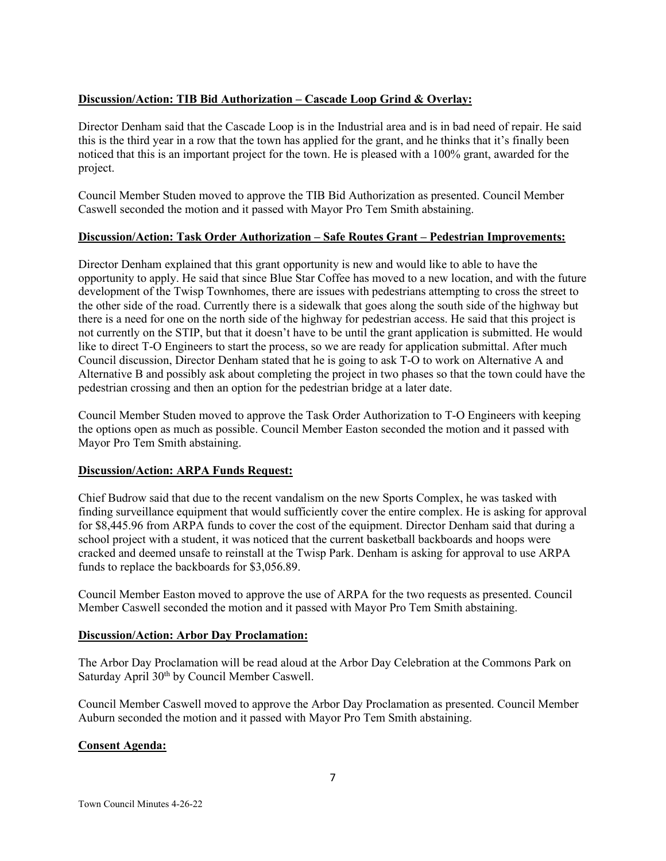# **Discussion/Action: TIB Bid Authorization – Cascade Loop Grind & Overlay:**

Director Denham said that the Cascade Loop is in the Industrial area and is in bad need of repair. He said this is the third year in a row that the town has applied for the grant, and he thinks that it's finally been noticed that this is an important project for the town. He is pleased with a 100% grant, awarded for the project.

Council Member Studen moved to approve the TIB Bid Authorization as presented. Council Member Caswell seconded the motion and it passed with Mayor Pro Tem Smith abstaining.

## **Discussion/Action: Task Order Authorization – Safe Routes Grant – Pedestrian Improvements:**

Director Denham explained that this grant opportunity is new and would like to able to have the opportunity to apply. He said that since Blue Star Coffee has moved to a new location, and with the future development of the Twisp Townhomes, there are issues with pedestrians attempting to cross the street to the other side of the road. Currently there is a sidewalk that goes along the south side of the highway but there is a need for one on the north side of the highway for pedestrian access. He said that this project is not currently on the STIP, but that it doesn't have to be until the grant application is submitted. He would like to direct T-O Engineers to start the process, so we are ready for application submittal. After much Council discussion, Director Denham stated that he is going to ask T-O to work on Alternative A and Alternative B and possibly ask about completing the project in two phases so that the town could have the pedestrian crossing and then an option for the pedestrian bridge at a later date.

Council Member Studen moved to approve the Task Order Authorization to T-O Engineers with keeping the options open as much as possible. Council Member Easton seconded the motion and it passed with Mayor Pro Tem Smith abstaining.

## **Discussion/Action: ARPA Funds Request:**

Chief Budrow said that due to the recent vandalism on the new Sports Complex, he was tasked with finding surveillance equipment that would sufficiently cover the entire complex. He is asking for approval for \$8,445.96 from ARPA funds to cover the cost of the equipment. Director Denham said that during a school project with a student, it was noticed that the current basketball backboards and hoops were cracked and deemed unsafe to reinstall at the Twisp Park. Denham is asking for approval to use ARPA funds to replace the backboards for \$3,056.89.

Council Member Easton moved to approve the use of ARPA for the two requests as presented. Council Member Caswell seconded the motion and it passed with Mayor Pro Tem Smith abstaining.

## **Discussion/Action: Arbor Day Proclamation:**

The Arbor Day Proclamation will be read aloud at the Arbor Day Celebration at the Commons Park on Saturday April 30<sup>th</sup> by Council Member Caswell.

Council Member Caswell moved to approve the Arbor Day Proclamation as presented. Council Member Auburn seconded the motion and it passed with Mayor Pro Tem Smith abstaining.

## **Consent Agenda:**